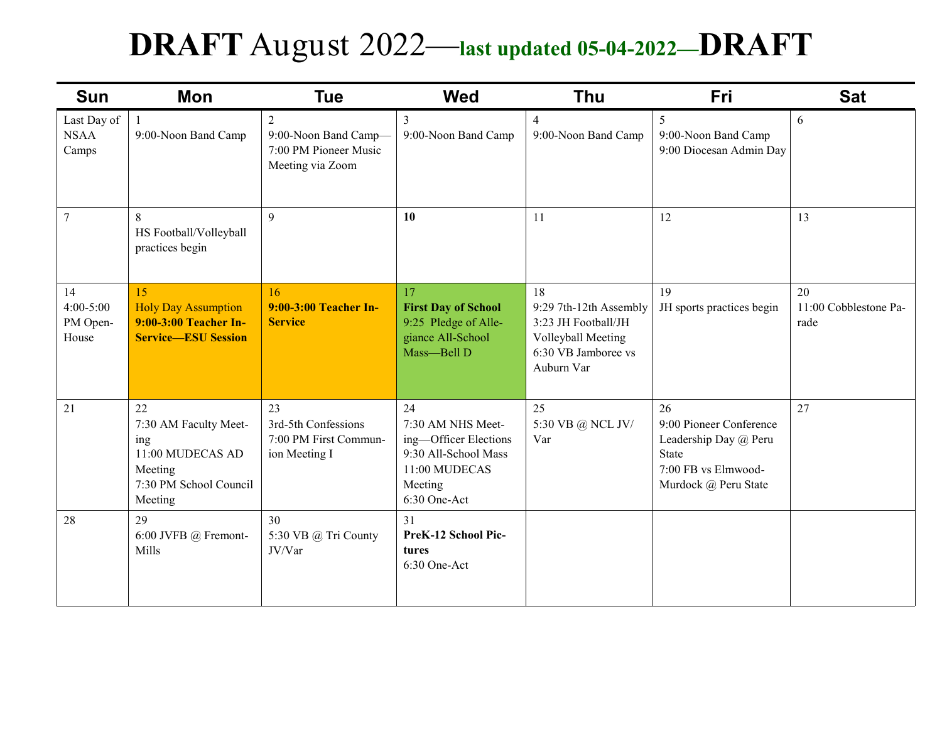# **DRAFT** August 2022—**last updated 05-04-2022—DRAFT**

| <b>Sun</b>                               | Mon                                                                                                    | <b>Tue</b>                                                                          | <b>Wed</b>                                                                                                           | <b>Thu</b>                                                                                                     | Fri                                                                                                                   | <b>Sat</b>                          |
|------------------------------------------|--------------------------------------------------------------------------------------------------------|-------------------------------------------------------------------------------------|----------------------------------------------------------------------------------------------------------------------|----------------------------------------------------------------------------------------------------------------|-----------------------------------------------------------------------------------------------------------------------|-------------------------------------|
| Last Day of<br><b>NSAA</b><br>Camps      | $\mathbf{1}$<br>9:00-Noon Band Camp                                                                    | $\overline{2}$<br>9:00-Noon Band Camp-<br>7:00 PM Pioneer Music<br>Meeting via Zoom | 3<br>9:00-Noon Band Camp                                                                                             | $\overline{4}$<br>9:00-Noon Band Camp                                                                          | 5<br>9:00-Noon Band Camp<br>9:00 Diocesan Admin Day                                                                   | 6                                   |
| $\overline{7}$                           | 8<br>HS Football/Volleyball<br>practices begin                                                         | $\mathbf{Q}$                                                                        | 10                                                                                                                   | 11                                                                                                             | 12                                                                                                                    | 13                                  |
| 14<br>$4:00 - 5:00$<br>PM Open-<br>House | 15<br><b>Holy Day Assumption</b><br>9:00-3:00 Teacher In-<br><b>Service-ESU Session</b>                | 16<br>9:00-3:00 Teacher In-<br><b>Service</b>                                       | 17<br><b>First Day of School</b><br>9:25 Pledge of Alle-<br>giance All-School<br>Mass-Bell D                         | 18<br>9:29 7th-12th Assembly<br>3:23 JH Football/JH<br>Volleyball Meeting<br>6:30 VB Jamboree vs<br>Auburn Var | 19<br>JH sports practices begin                                                                                       | 20<br>11:00 Cobblestone Pa-<br>rade |
| 21                                       | 22<br>7:30 AM Faculty Meet-<br>ing<br>11:00 MUDECAS AD<br>Meeting<br>7:30 PM School Council<br>Meeting | 23<br>3rd-5th Confessions<br>7:00 PM First Commun-<br>ion Meeting I                 | 24<br>7:30 AM NHS Meet-<br>ing-Officer Elections<br>9:30 All-School Mass<br>11:00 MUDECAS<br>Meeting<br>6:30 One-Act | 25<br>5:30 VB @ NCL JV/<br>Var                                                                                 | 26<br>9:00 Pioneer Conference<br>Leadership Day @ Peru<br><b>State</b><br>7:00 FB vs Elmwood-<br>Murdock @ Peru State | 27                                  |
| 28                                       | 29<br>6:00 JVFB $@$ Fremont-<br>Mills                                                                  | 30<br>5:30 VB @ Tri County<br>JV/Var                                                | 31<br>PreK-12 School Pic-<br>tures<br>6:30 One-Act                                                                   |                                                                                                                |                                                                                                                       |                                     |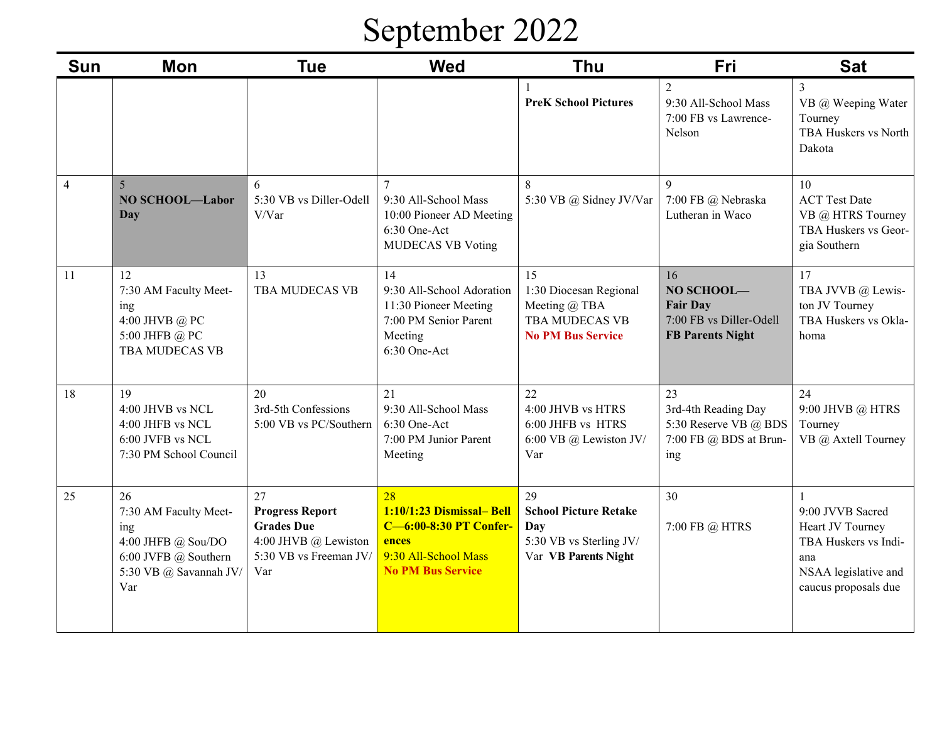# September 2022

| <b>Sun</b>     | <b>Mon</b>                                                                                                        | <b>Tue</b>                                                                                                 | <b>Wed</b>                                                                                                                    | <b>Thu</b>                                                                                   | Fri                                                                                       | <b>Sat</b>                                                                                                          |
|----------------|-------------------------------------------------------------------------------------------------------------------|------------------------------------------------------------------------------------------------------------|-------------------------------------------------------------------------------------------------------------------------------|----------------------------------------------------------------------------------------------|-------------------------------------------------------------------------------------------|---------------------------------------------------------------------------------------------------------------------|
|                |                                                                                                                   |                                                                                                            |                                                                                                                               | <b>PreK School Pictures</b>                                                                  | $\overline{2}$<br>9:30 All-School Mass<br>7:00 FB vs Lawrence-<br>Nelson                  | 3<br>VB @ Weeping Water<br>Tourney<br>TBA Huskers vs North<br>Dakota                                                |
| $\overline{4}$ | $\overline{5}$<br><b>NO SCHOOL-Labor</b><br>Day                                                                   | 6<br>5:30 VB vs Diller-Odell<br>V/Var                                                                      | $\tau$<br>9:30 All-School Mass<br>10:00 Pioneer AD Meeting<br>6:30 One-Act<br><b>MUDECAS VB Voting</b>                        | 8<br>5:30 VB @ Sidney JV/Var                                                                 | $\mathbf{Q}$<br>7:00 FB @ Nebraska<br>Lutheran in Waco                                    | 10<br><b>ACT</b> Test Date<br>VB @ HTRS Tourney<br>TBA Huskers vs Geor-<br>gia Southern                             |
| 11             | 12<br>7:30 AM Faculty Meet-<br>ing<br>4:00 JHVB @ PC<br>5:00 JHFB @ PC<br>TBA MUDECAS VB                          | 13<br>TBA MUDECAS VB                                                                                       | 14<br>9:30 All-School Adoration<br>11:30 Pioneer Meeting<br>7:00 PM Senior Parent<br>Meeting<br>6:30 One-Act                  | 15<br>1:30 Diocesan Regional<br>Meeting @ TBA<br>TBA MUDECAS VB<br><b>No PM Bus Service</b>  | 16<br>NO SCHOOL-<br><b>Fair Day</b><br>7:00 FB vs Diller-Odell<br><b>FB Parents Night</b> | 17<br>TBA JVVB @ Lewis-<br>ton JV Tourney<br>TBA Huskers vs Okla-<br>homa                                           |
| 18             | 19<br>4:00 JHVB vs NCL<br>4:00 JHFB vs NCL<br>6:00 JVFB vs NCL<br>7:30 PM School Council                          | 20<br>3rd-5th Confessions<br>5:00 VB vs PC/Southern                                                        | 21<br>9:30 All-School Mass<br>6:30 One-Act<br>7:00 PM Junior Parent<br>Meeting                                                | 22<br>4:00 JHVB vs HTRS<br>6:00 JHFB vs HTRS<br>6:00 VB @ Lewiston JV/<br>Var                | 23<br>3rd-4th Reading Day<br>5:30 Reserve VB @ BDS<br>7:00 FB @ BDS at Brun-<br>ing       | 24<br>9:00 JHVB @ HTRS<br>Tourney<br>VB @ Axtell Tourney                                                            |
| 25             | 26<br>7:30 AM Faculty Meet-<br>ing<br>4:00 JHFB @ Sou/DO<br>6:00 JVFB @ Southern<br>5:30 VB @ Savannah JV/<br>Var | 27<br><b>Progress Report</b><br><b>Grades Due</b><br>4:00 JHVB @ Lewiston<br>5:30 VB vs Freeman JV/<br>Var | 28<br>1:10/1:23 Dismissal- Bell<br><b>C-6:00-8:30 PT Confer-</b><br>ences<br>9:30 All-School Mass<br><b>No PM Bus Service</b> | 29<br><b>School Picture Retake</b><br>Day<br>5:30 VB vs Sterling JV/<br>Var VB Parents Night | 30<br>7:00 FB @ HTRS                                                                      | 9:00 JVVB Sacred<br>Heart JV Tourney<br>TBA Huskers vs Indi-<br>ana<br>NSAA legislative and<br>caucus proposals due |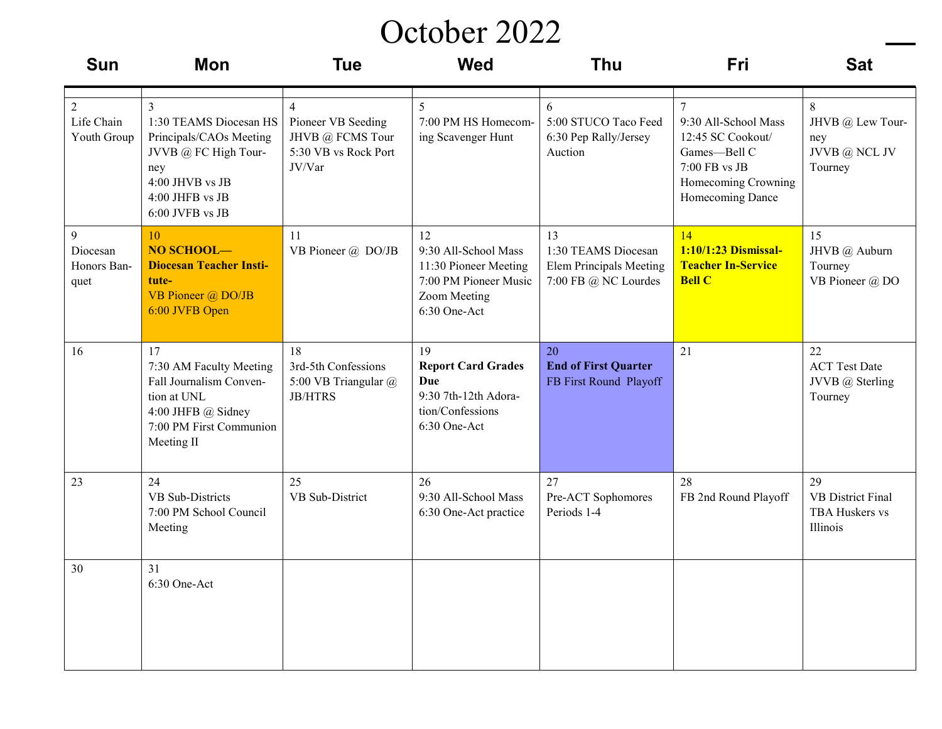#### October 2022

| <b>Sun</b>                                        | Mon                                                                                                                                                         | <b>Tue</b>                                                                                 | <b>Wed</b>                                                                                                   | <b>Thu</b>                                                                          | Fri                                                                                                                                     | <b>Sat</b>                                                   |
|---------------------------------------------------|-------------------------------------------------------------------------------------------------------------------------------------------------------------|--------------------------------------------------------------------------------------------|--------------------------------------------------------------------------------------------------------------|-------------------------------------------------------------------------------------|-----------------------------------------------------------------------------------------------------------------------------------------|--------------------------------------------------------------|
| $\overline{2}$<br>Life Chain<br>Youth Group       | $\overline{3}$<br>1:30 TEAMS Diocesan HS<br>Principals/CAOs Meeting<br>JVVB @ FC High Tour-<br>ney<br>4:00 JHVB vs JB<br>4:00 JHFB vs JB<br>6:00 JVFB vs JB | $\overline{4}$<br>Pioneer VB Seeding<br>JHVB @ FCMS Tour<br>5:30 VB vs Rock Port<br>JV/Var | 5<br>7:00 PM HS Homecom-<br>ing Scavenger Hunt                                                               | 6<br>5:00 STUCO Taco Feed<br>6:30 Pep Rally/Jersey<br>Auction                       | $\overline{7}$<br>9:30 All-School Mass<br>12:45 SC Cookout/<br>Games-Bell C<br>7:00 FB vs JB<br>Homecoming Crowning<br>Homecoming Dance | 8<br>JHVB @ Lew Tour-<br>ney<br>JVVB @ NCL JV<br>Tourney     |
| $\overline{9}$<br>Diocesan<br>Honors Ban-<br>quet | 10<br>NO SCHOOL-<br><b>Diocesan Teacher Insti-</b><br>tute-<br>VB Pioneer @ DO/JB<br>6:00 JVFB Open                                                         | 11<br>VB Pioneer @ DO/JB                                                                   | 12<br>9:30 All-School Mass<br>11:30 Pioneer Meeting<br>7:00 PM Pioneer Music<br>Zoom Meeting<br>6:30 One-Act | 13<br>1:30 TEAMS Diocesan<br><b>Elem Principals Meeting</b><br>7:00 FB @ NC Lourdes | 14<br>1:10/1:23 Dismissal-<br><b>Teacher In-Service</b><br><b>Bell C</b>                                                                | 15<br>JHVB @ Auburn<br>Tourney<br>VB Pioneer @ DO            |
| 16                                                | 17<br>7:30 AM Faculty Meeting<br>Fall Journalism Conven-<br>tion at UNL<br>4:00 JHFB @ Sidney<br>7:00 PM First Communion<br>Meeting II                      | 18<br>3rd-5th Confessions<br>5:00 VB Triangular @<br><b>JB/HTRS</b>                        | 19<br><b>Report Card Grades</b><br><b>Due</b><br>9:30 7th-12th Adora-<br>tion/Confessions<br>6:30 One-Act    | 20<br><b>End of First Quarter</b><br>FB First Round Playoff                         | 21                                                                                                                                      | 22<br><b>ACT</b> Test Date<br>JVVB @ Sterling<br>Tourney     |
| 23                                                | 24<br>VB Sub-Districts<br>7:00 PM School Council<br>Meeting                                                                                                 | 25<br>VB Sub-District                                                                      | 26<br>9:30 All-School Mass<br>6:30 One-Act practice                                                          | 27<br>Pre-ACT Sophomores<br>Periods 1-4                                             | 28<br>FB 2nd Round Playoff                                                                                                              | 29<br><b>VB</b> District Final<br>TBA Huskers vs<br>Illinois |
| 30                                                | 31<br>6:30 One-Act                                                                                                                                          |                                                                                            |                                                                                                              |                                                                                     |                                                                                                                                         |                                                              |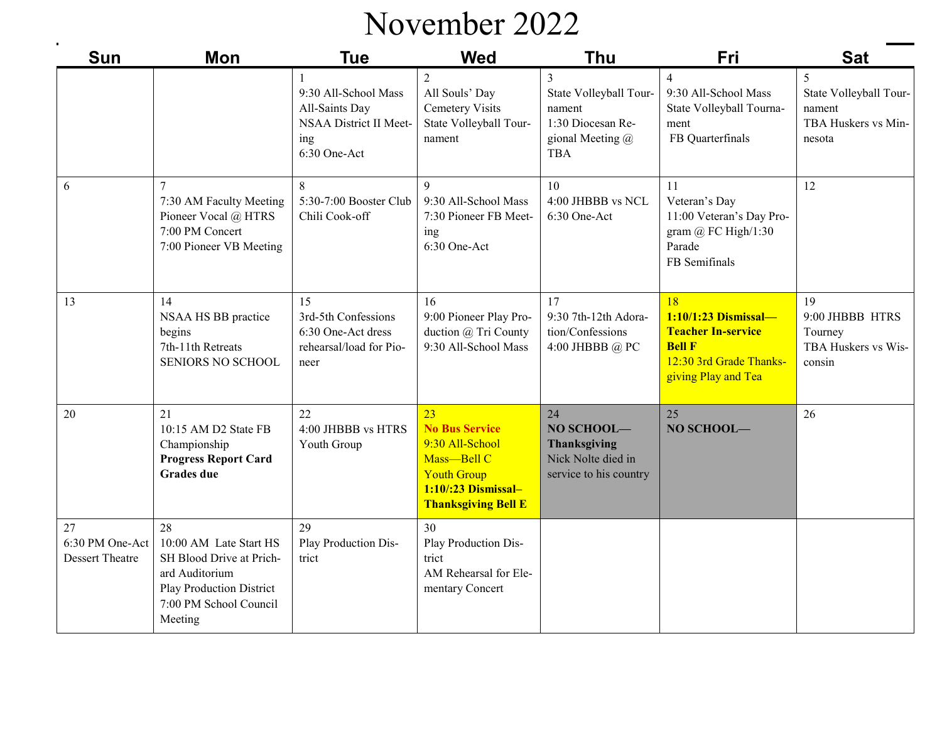### November 2022

| $\blacksquare$<br><b>Sun</b>                    | <b>Mon</b>                                                                                                                                  | <b>Tue</b>                                                                              | <b>Wed</b>                                                                                                                               | <b>Thu</b>                                                                                   | Fri                                                                                                                        | <b>Sat</b>                                                             |
|-------------------------------------------------|---------------------------------------------------------------------------------------------------------------------------------------------|-----------------------------------------------------------------------------------------|------------------------------------------------------------------------------------------------------------------------------------------|----------------------------------------------------------------------------------------------|----------------------------------------------------------------------------------------------------------------------------|------------------------------------------------------------------------|
|                                                 |                                                                                                                                             | 9:30 All-School Mass<br>All-Saints Day<br>NSAA District II Meet-<br>ing<br>6:30 One-Act | $\overline{2}$<br>All Souls' Day<br><b>Cemetery Visits</b><br>State Volleyball Tour-<br>nament                                           | 3<br>State Volleyball Tour-<br>nament<br>1:30 Diocesan Re-<br>gional Meeting @<br><b>TBA</b> | $\overline{4}$<br>9:30 All-School Mass<br>State Volleyball Tourna-<br>ment<br>FB Quarterfinals                             | 5<br>State Volleyball Tour-<br>nament<br>TBA Huskers vs Min-<br>nesota |
| 6                                               | 7<br>7:30 AM Faculty Meeting<br>Pioneer Vocal @ HTRS<br>7:00 PM Concert<br>7:00 Pioneer VB Meeting                                          | 8<br>5:30-7:00 Booster Club<br>Chili Cook-off                                           | 9<br>9:30 All-School Mass<br>7:30 Pioneer FB Meet-<br>ing<br>6:30 One-Act                                                                | 10<br>4:00 JHBBB vs NCL<br>6:30 One-Act                                                      | 11<br>Veteran's Day<br>11:00 Veteran's Day Pro-<br>gram $@$ FC High/1:30<br>Parade<br>FB Semifinals                        | 12                                                                     |
| 13                                              | 14<br>NSAA HS BB practice<br>begins<br>7th-11th Retreats<br><b>SENIORS NO SCHOOL</b>                                                        | 15<br>3rd-5th Confessions<br>6:30 One-Act dress<br>rehearsal/load for Pio-<br>neer      | 16<br>9:00 Pioneer Play Pro-<br>duction @ Tri County<br>9:30 All-School Mass                                                             | 17<br>9:30 7th-12th Adora-<br>tion/Confessions<br>4:00 JHBBB @ PC                            | 18<br>1:10/1:23 Dismissal-<br><b>Teacher In-service</b><br><b>Bell F</b><br>12:30 3rd Grade Thanks-<br>giving Play and Tea | 19<br>9:00 JHBBB HTRS<br>Tourney<br>TBA Huskers vs Wis-<br>consin      |
| 20                                              | 21<br>10:15 AM D2 State FB<br>Championship<br><b>Progress Report Card</b><br><b>Grades</b> due                                              | 22<br>4:00 JHBBB vs HTRS<br>Youth Group                                                 | 23<br><b>No Bus Service</b><br>9:30 All-School<br>Mass-Bell C<br><b>Youth Group</b><br>1:10/:23 Dismissal-<br><b>Thanksgiving Bell E</b> | 24<br>NO SCHOOL-<br><b>Thanksgiving</b><br>Nick Nolte died in<br>service to his country      | 25<br>NO SCHOOL-                                                                                                           | 26                                                                     |
| 27<br>6:30 PM One-Act<br><b>Dessert Theatre</b> | 28<br>10:00 AM Late Start HS<br>SH Blood Drive at Prich-<br>ard Auditorium<br>Play Production District<br>7:00 PM School Council<br>Meeting | 29<br>Play Production Dis-<br>trict                                                     | 30<br>Play Production Dis-<br>trict<br>AM Rehearsal for Ele-<br>mentary Concert                                                          |                                                                                              |                                                                                                                            |                                                                        |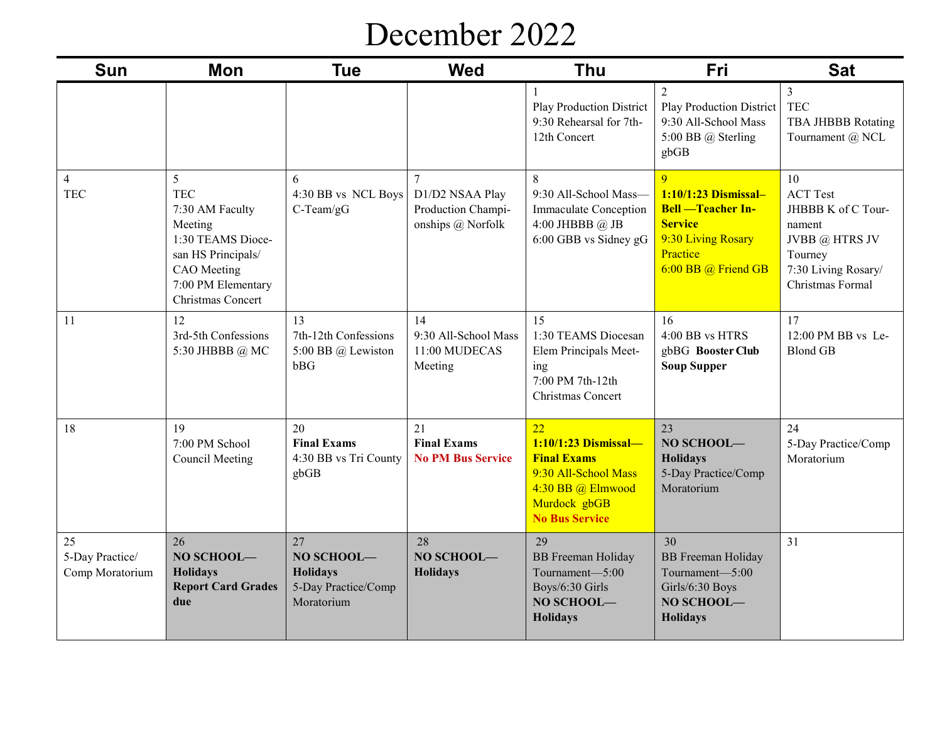#### December 2022

| <b>Sun</b>                               | <b>Mon</b>                                                                                                                                         | <b>Tue</b>                                                               | <b>Wed</b>                                                           | <b>Thu</b>                                                                                                                             | <b>Fri</b>                                                                                                                                    | <b>Sat</b>                                                                                                                    |
|------------------------------------------|----------------------------------------------------------------------------------------------------------------------------------------------------|--------------------------------------------------------------------------|----------------------------------------------------------------------|----------------------------------------------------------------------------------------------------------------------------------------|-----------------------------------------------------------------------------------------------------------------------------------------------|-------------------------------------------------------------------------------------------------------------------------------|
|                                          |                                                                                                                                                    |                                                                          |                                                                      | Play Production District<br>9:30 Rehearsal for 7th-<br>12th Concert                                                                    | $\overline{2}$<br>Play Production District<br>9:30 All-School Mass<br>5:00 BB @ Sterling<br>gbGB                                              | 3<br><b>TEC</b><br>TBA JHBBB Rotating<br>Tournament @ NCL                                                                     |
| $\overline{4}$<br><b>TEC</b>             | 5<br><b>TEC</b><br>7:30 AM Faculty<br>Meeting<br>1:30 TEAMS Dioce-<br>san HS Principals/<br>CAO Meeting<br>7:00 PM Elementary<br>Christmas Concert | 6<br>4:30 BB vs NCL Boys<br>$C$ -Team/gG                                 | $\tau$<br>D1/D2 NSAA Play<br>Production Champi-<br>onships @ Norfolk | 8<br>9:30 All-School Mass-<br>Immaculate Conception<br>4:00 JHBBB @ JB<br>6:00 GBB vs Sidney gG                                        | $\overline{Q}$<br>1:10/1:23 Dismissal-<br><b>Bell</b> -Teacher In-<br><b>Service</b><br>9:30 Living Rosary<br>Practice<br>6:00 BB @ Friend GB | 10<br><b>ACT Test</b><br>JHBBB K of C Tour-<br>nament<br>JVBB @ HTRS JV<br>Tourney<br>7:30 Living Rosary/<br>Christmas Formal |
| 11                                       | 12<br>3rd-5th Confessions<br>5:30 JHBBB @ MC                                                                                                       | 13<br>7th-12th Confessions<br>5:00 BB @ Lewiston<br>bBG                  | 14<br>9:30 All-School Mass<br>11:00 MUDECAS<br>Meeting               | 15<br>1:30 TEAMS Diocesan<br>Elem Principals Meet-<br>ing<br>7:00 PM 7th-12th<br>Christmas Concert                                     | 16<br>4:00 BB vs HTRS<br>gbBG Booster Club<br><b>Soup Supper</b>                                                                              | 17<br>12:00 PM BB vs Le-<br><b>Blond GB</b>                                                                                   |
| 18                                       | 19<br>7:00 PM School<br><b>Council Meeting</b>                                                                                                     | 20<br><b>Final Exams</b><br>4:30 BB vs Tri County<br>gbGB                | 21<br><b>Final Exams</b><br><b>No PM Bus Service</b>                 | 22<br>1:10/1:23 Dismissal-<br><b>Final Exams</b><br>9:30 All-School Mass<br>4:30 BB @ Elmwood<br>Murdock gbGB<br><b>No Bus Service</b> | 23<br>NO SCHOOL-<br>Holidays<br>5-Day Practice/Comp<br>Moratorium                                                                             | 24<br>5-Day Practice/Comp<br>Moratorium                                                                                       |
| 25<br>5-Day Practice/<br>Comp Moratorium | 26<br>NO SCHOOL-<br><b>Holidays</b><br><b>Report Card Grades</b><br>due                                                                            | 27<br>NO SCHOOL-<br><b>Holidays</b><br>5-Day Practice/Comp<br>Moratorium | 28<br>NO SCHOOL-<br><b>Holidays</b>                                  | 29<br><b>BB</b> Freeman Holiday<br>Tournament-5:00<br>Boys/6:30 Girls<br>NO SCHOOL-<br><b>Holidays</b>                                 | 30<br><b>BB</b> Freeman Holiday<br>Tournament-5:00<br>Girls/6:30 Boys<br>NO SCHOOL-<br><b>Holidays</b>                                        | 31                                                                                                                            |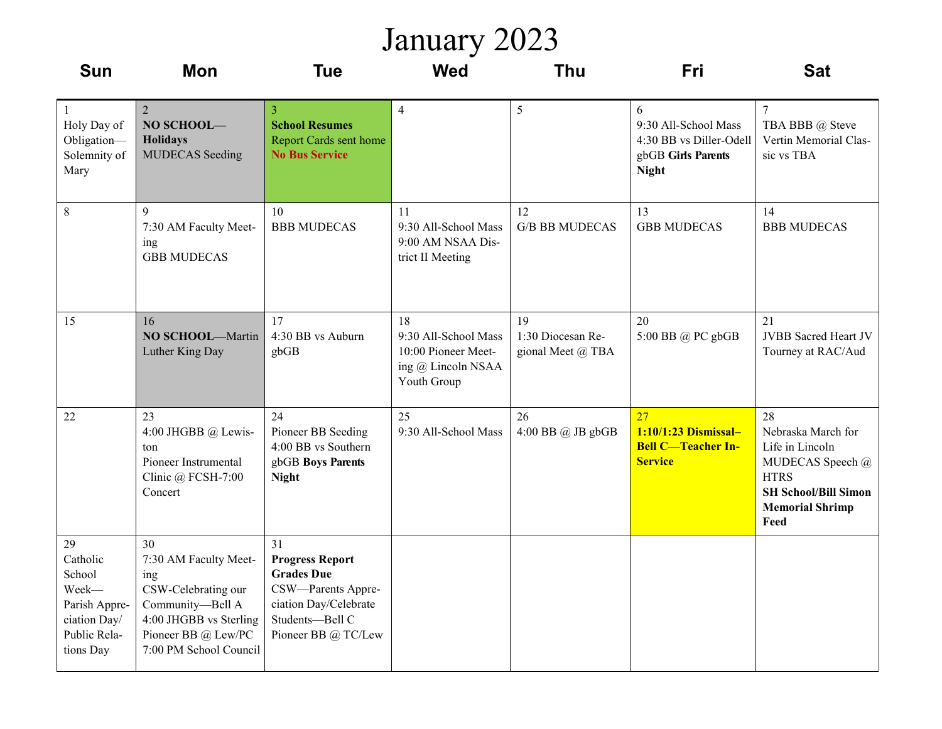#### January 2023

| <b>Sun</b>                                                                                      | <b>Mon</b>                                                                                                                                               | <b>Tue</b>                                                                                                                                 | <b>Wed</b>                                                                             | <b>Thu</b>                                   | Fri                                                                                        | <b>Sat</b>                                                                                                                                      |
|-------------------------------------------------------------------------------------------------|----------------------------------------------------------------------------------------------------------------------------------------------------------|--------------------------------------------------------------------------------------------------------------------------------------------|----------------------------------------------------------------------------------------|----------------------------------------------|--------------------------------------------------------------------------------------------|-------------------------------------------------------------------------------------------------------------------------------------------------|
| $\mathbf{1}$<br>Holy Day of<br>Obligation-<br>Solemnity of<br>Mary                              | $\overline{2}$<br>NO SCHOOL-<br><b>Holidays</b><br><b>MUDECAS</b> Seeding                                                                                | 3<br><b>School Resumes</b><br>Report Cards sent home<br><b>No Bus Service</b>                                                              | $\overline{4}$                                                                         | 5                                            | 6<br>9:30 All-School Mass<br>4:30 BB vs Diller-Odell<br>gbGB Girls Parents<br><b>Night</b> | $\overline{7}$<br>TBA BBB @ Steve<br>Vertin Memorial Clas-<br>sic vs TBA                                                                        |
| $\,$ 8 $\,$                                                                                     | 9<br>7:30 AM Faculty Meet-<br>ing<br><b>GBB MUDECAS</b>                                                                                                  | 10<br><b>BBB MUDECAS</b>                                                                                                                   | 11<br>9:30 All-School Mass<br>9:00 AM NSAA Dis-<br>trict II Meeting                    | 12<br><b>G/B BB MUDECAS</b>                  | 13<br><b>GBB MUDECAS</b>                                                                   | 14<br><b>BBB MUDECAS</b>                                                                                                                        |
| 15                                                                                              | 16<br><b>NO SCHOOL-Martin</b><br>Luther King Day                                                                                                         | 17<br>4:30 BB vs Auburn<br>gbGB                                                                                                            | 18<br>9:30 All-School Mass<br>10:00 Pioneer Meet-<br>ing @ Lincoln NSAA<br>Youth Group | 19<br>1:30 Diocesan Re-<br>gional Meet @ TBA | 20<br>5:00 BB @ PC gbGB                                                                    | 21<br><b>JVBB</b> Sacred Heart JV<br>Tourney at RAC/Aud                                                                                         |
| 22                                                                                              | 23<br>4:00 JHGBB @ Lewis-<br>ton<br>Pioneer Instrumental<br>Clinic @ FCSH-7:00<br>Concert                                                                | 24<br>Pioneer BB Seeding<br>4:00 BB vs Southern<br>gbGB Boys Parents<br><b>Night</b>                                                       | 25<br>9:30 All-School Mass                                                             | 26<br>$4:00$ BB $@$ JB gbGB                  | 27<br>1:10/1:23 Dismissal-<br><b>Bell C-Teacher In-</b><br><b>Service</b>                  | 28<br>Nebraska March for<br>Life in Lincoln<br>MUDECAS Speech @<br><b>HTRS</b><br><b>SH School/Bill Simon</b><br><b>Memorial Shrimp</b><br>Feed |
| 29<br>Catholic<br>School<br>Week-<br>Parish Appre-<br>ciation Day/<br>Public Rela-<br>tions Day | 30<br>7:30 AM Faculty Meet-<br>ing<br>CSW-Celebrating our<br>Community-Bell A<br>4:00 JHGBB vs Sterling<br>Pioneer BB @ Lew/PC<br>7:00 PM School Council | 31<br><b>Progress Report</b><br><b>Grades Due</b><br>CSW-Parents Appre-<br>ciation Day/Celebrate<br>Students-Bell C<br>Pioneer BB @ TC/Lew |                                                                                        |                                              |                                                                                            |                                                                                                                                                 |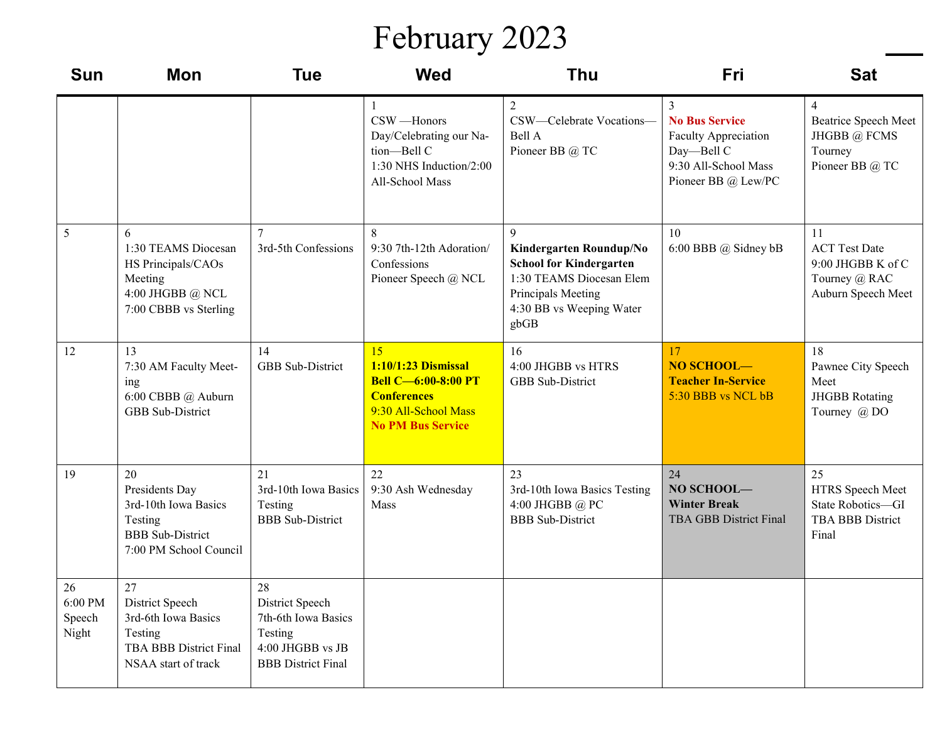## February 2023

| <b>Sun</b>                       | <b>Mon</b>                                                                                                      | <b>Tue</b>                                                                                               | <b>Wed</b>                                                                                                                        | <b>Thu</b>                                                                                                                                           | Fri                                                                                                                    | <b>Sat</b>                                                                             |
|----------------------------------|-----------------------------------------------------------------------------------------------------------------|----------------------------------------------------------------------------------------------------------|-----------------------------------------------------------------------------------------------------------------------------------|------------------------------------------------------------------------------------------------------------------------------------------------------|------------------------------------------------------------------------------------------------------------------------|----------------------------------------------------------------------------------------|
|                                  |                                                                                                                 |                                                                                                          | 1<br>CSW-Honors<br>Day/Celebrating our Na-<br>tion-Bell C<br>1:30 NHS Induction/2:00<br>All-School Mass                           | $\overline{2}$<br>CSW-Celebrate Vocations-<br>Bell A<br>Pioneer BB @ TC                                                                              | 3<br><b>No Bus Service</b><br><b>Faculty Appreciation</b><br>Day-Bell C<br>9:30 All-School Mass<br>Pioneer BB @ Lew/PC | $\overline{4}$<br>Beatrice Speech Meet<br>JHGBB @ FCMS<br>Tourney<br>Pioneer BB @ TC   |
| 5                                | 6<br>1:30 TEAMS Diocesan<br>HS Principals/CAOs<br>Meeting<br>4:00 JHGBB @ NCL<br>7:00 CBBB vs Sterling          | $\tau$<br>3rd-5th Confessions                                                                            | 8<br>9:30 7th-12th Adoration/<br>Confessions<br>Pioneer Speech @ NCL                                                              | 9<br>Kindergarten Roundup/No<br><b>School for Kindergarten</b><br>1:30 TEAMS Diocesan Elem<br>Principals Meeting<br>4:30 BB vs Weeping Water<br>gbGB | 10<br>6:00 BBB @ Sidney bB                                                                                             | 11<br><b>ACT</b> Test Date<br>9:00 JHGBB K of C<br>Tourney @ RAC<br>Auburn Speech Meet |
| 12                               | 13<br>7:30 AM Faculty Meet-<br>ing<br>6:00 CBBB @ Auburn<br>GBB Sub-District                                    | 14<br>GBB Sub-District                                                                                   | 15<br>1:10/1:23 Dismissal<br><b>Bell C-6:00-8:00 PT</b><br><b>Conferences</b><br>9:30 All-School Mass<br><b>No PM Bus Service</b> | 16<br>4:00 JHGBB vs HTRS<br>GBB Sub-District                                                                                                         | 17<br>NO SCHOOL-<br><b>Teacher In-Service</b><br>5:30 BBB vs NCL bB                                                    | 18<br>Pawnee City Speech<br>Meet<br><b>JHGBB</b> Rotating<br>Tourney @ DO              |
| 19                               | 20<br>Presidents Day<br>3rd-10th Iowa Basics<br>Testing<br><b>BBB</b> Sub-District<br>7:00 PM School Council    | 21<br>3rd-10th Iowa Basics<br>Testing<br><b>BBB</b> Sub-District                                         | 22<br>9:30 Ash Wednesday<br>Mass                                                                                                  | 23<br>3rd-10th Iowa Basics Testing<br>4:00 JHGBB @ PC<br><b>BBB</b> Sub-District                                                                     | 24<br>NO SCHOOL-<br><b>Winter Break</b><br><b>TBA GBB District Final</b>                                               | 25<br>HTRS Speech Meet<br>State Robotics-GI<br>TBA BBB District<br>Final               |
| 26<br>6:00 PM<br>Speech<br>Night | 27<br>District Speech<br>3rd-6th Iowa Basics<br>Testing<br><b>TBA BBB District Final</b><br>NSAA start of track | 28<br>District Speech<br>7th-6th Iowa Basics<br>Testing<br>4:00 JHGBB vs JB<br><b>BBB</b> District Final |                                                                                                                                   |                                                                                                                                                      |                                                                                                                        |                                                                                        |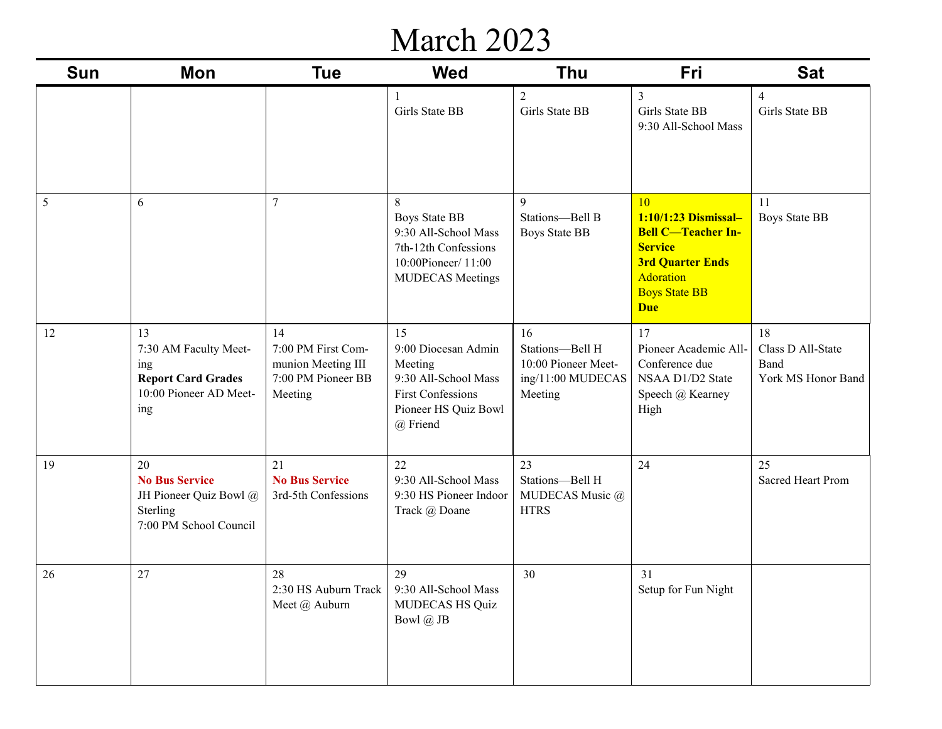### March 2023

| <b>Sun</b> | Mon                                                                                              | <b>Tue</b>                                                                      | <b>Wed</b>                                                                                                                   | <b>Thu</b>                                                                   | Fri                                                                                                                                                     | <b>Sat</b>                                            |
|------------|--------------------------------------------------------------------------------------------------|---------------------------------------------------------------------------------|------------------------------------------------------------------------------------------------------------------------------|------------------------------------------------------------------------------|---------------------------------------------------------------------------------------------------------------------------------------------------------|-------------------------------------------------------|
|            |                                                                                                  |                                                                                 | -1<br>Girls State BB                                                                                                         | $\overline{2}$<br>Girls State BB                                             | $\overline{3}$<br>Girls State BB<br>9:30 All-School Mass                                                                                                | $\overline{4}$<br>Girls State BB                      |
| 5          | 6                                                                                                | $\tau$                                                                          | 8<br><b>Boys State BB</b><br>9:30 All-School Mass<br>7th-12th Confessions<br>10:00Pioneer/11:00<br><b>MUDECAS</b> Meetings   | 9<br>Stations-Bell B<br><b>Boys State BB</b>                                 | 10<br>1:10/1:23 Dismissal-<br><b>Bell C-Teacher In-</b><br><b>Service</b><br><b>3rd Quarter Ends</b><br>Adoration<br><b>Boys State BB</b><br><b>Due</b> | 11<br><b>Boys State BB</b>                            |
| 12         | 13<br>7:30 AM Faculty Meet-<br>ing<br><b>Report Card Grades</b><br>10:00 Pioneer AD Meet-<br>ing | 14<br>7:00 PM First Com-<br>munion Meeting III<br>7:00 PM Pioneer BB<br>Meeting | 15<br>9:00 Diocesan Admin<br>Meeting<br>9:30 All-School Mass<br><b>First Confessions</b><br>Pioneer HS Quiz Bowl<br>@ Friend | 16<br>Stations-Bell H<br>10:00 Pioneer Meet-<br>ing/11:00 MUDECAS<br>Meeting | 17<br>Pioneer Academic All-<br>Conference due<br>NSAA D1/D2 State<br>Speech @ Kearney<br>High                                                           | 18<br>Class D All-State<br>Band<br>York MS Honor Band |
| 19         | 20<br><b>No Bus Service</b><br>JH Pioneer Quiz Bowl @<br>Sterling<br>7:00 PM School Council      | 21<br><b>No Bus Service</b><br>3rd-5th Confessions                              | 22<br>9:30 All-School Mass<br>9:30 HS Pioneer Indoor<br>Track @ Doane                                                        | 23<br>Stations-Bell H<br>MUDECAS Music @<br><b>HTRS</b>                      | 24                                                                                                                                                      | 25<br>Sacred Heart Prom                               |
| 26         | 27                                                                                               | 28<br>2:30 HS Auburn Track   9:30 All-School Mass<br>Meet @ Auburn              | 29<br>MUDECAS HS Quiz<br>Bowl @ JB                                                                                           | 30                                                                           | 31<br>Setup for Fun Night                                                                                                                               |                                                       |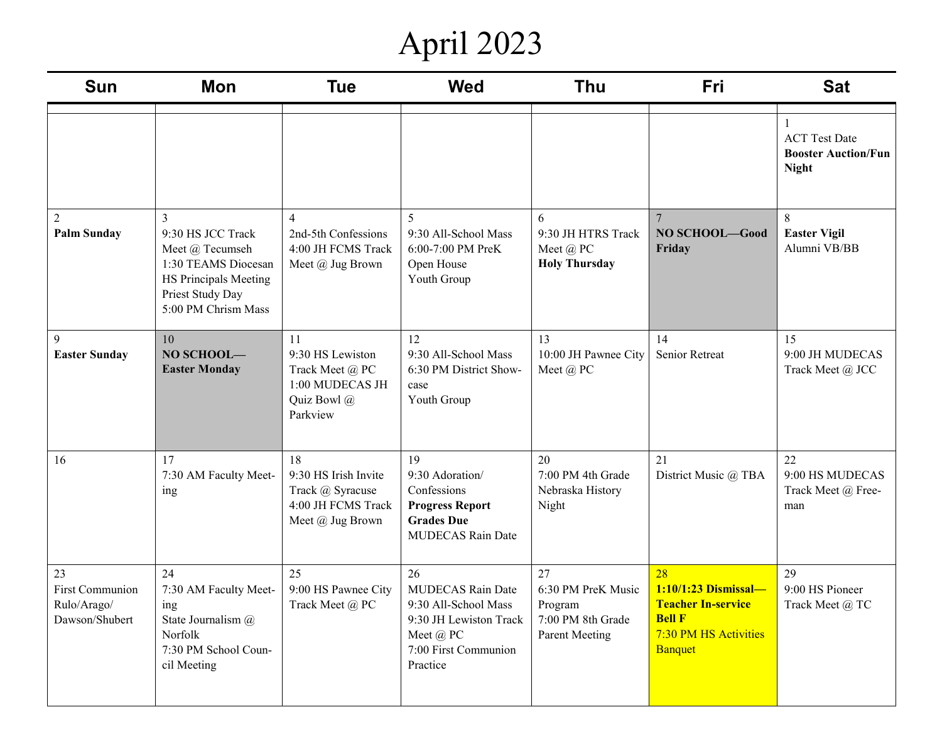# April 2023

| <b>Sun</b>                                                    | <b>Mon</b>                                                                                                                           | <b>Tue</b>                                                                               | <b>Wed</b>                                                                                                                        | <b>Thu</b>                                                                        | Fri                                                                                                          | <b>Sat</b>                                                         |
|---------------------------------------------------------------|--------------------------------------------------------------------------------------------------------------------------------------|------------------------------------------------------------------------------------------|-----------------------------------------------------------------------------------------------------------------------------------|-----------------------------------------------------------------------------------|--------------------------------------------------------------------------------------------------------------|--------------------------------------------------------------------|
|                                                               |                                                                                                                                      |                                                                                          |                                                                                                                                   |                                                                                   |                                                                                                              | <b>ACT</b> Test Date<br><b>Booster Auction/Fun</b><br><b>Night</b> |
| $\overline{2}$<br><b>Palm Sunday</b>                          | 3<br>9:30 HS JCC Track<br>Meet @ Tecumseh<br>1:30 TEAMS Diocesan<br>HS Principals Meeting<br>Priest Study Day<br>5:00 PM Chrism Mass | $\overline{4}$<br>2nd-5th Confessions<br>4:00 JH FCMS Track<br>Meet @ Jug Brown          | 5<br>9:30 All-School Mass<br>6:00-7:00 PM PreK<br>Open House<br>Youth Group                                                       | 6<br>9:30 JH HTRS Track<br>Meet @ PC<br><b>Holy Thursday</b>                      | $\overline{7}$<br>NO SCHOOL-Good<br>Friday                                                                   | 8<br><b>Easter Vigil</b><br>Alumni VB/BB                           |
| 9<br><b>Easter Sunday</b>                                     | 10<br>NO SCHOOL-<br><b>Easter Monday</b>                                                                                             | 11<br>9:30 HS Lewiston<br>Track Meet @ PC<br>1:00 MUDECAS JH<br>Quiz Bowl @<br>Parkview  | 12<br>9:30 All-School Mass<br>6:30 PM District Show-<br>case<br>Youth Group                                                       | 13<br>10:00 JH Pawnee City<br>Meet @ PC                                           | 14<br>Senior Retreat                                                                                         | 15<br>9:00 JH MUDECAS<br>Track Meet @ JCC                          |
| 16                                                            | 17<br>7:30 AM Faculty Meet-<br>ing                                                                                                   | 18<br>9:30 HS Irish Invite<br>Track @ Syracuse<br>4:00 JH FCMS Track<br>Meet @ Jug Brown | 19<br>9:30 Adoration/<br>Confessions<br><b>Progress Report</b><br><b>Grades Due</b><br><b>MUDECAS Rain Date</b>                   | 20<br>7:00 PM 4th Grade<br>Nebraska History<br>Night                              | 21<br>District Music @ TBA                                                                                   | 22<br>9:00 HS MUDECAS<br>Track Meet @ Free-<br>man                 |
| 23<br><b>First Communion</b><br>Rulo/Arago/<br>Dawson/Shubert | 24<br>7:30 AM Faculty Meet-<br>ing<br>State Journalism @<br>Norfolk<br>7:30 PM School Coun-<br>cil Meeting                           | 25<br>9:00 HS Pawnee City<br>Track Meet $@$ ${\rm PC}$                                   | 26<br><b>MUDECAS Rain Date</b><br>9:30 All-School Mass<br>9:30 JH Lewiston Track<br>Meet @ PC<br>7:00 First Communion<br>Practice | 27<br>6:30 PM PreK Music<br>Program<br>7:00 PM 8th Grade<br><b>Parent Meeting</b> | 28<br>1:10/1:23 Dismissal-<br><b>Teacher In-service</b><br><b>Bell F</b><br>7:30 PM HS Activities<br>Banquet | 29<br>9:00 HS Pioneer<br>Track Meet @ TC                           |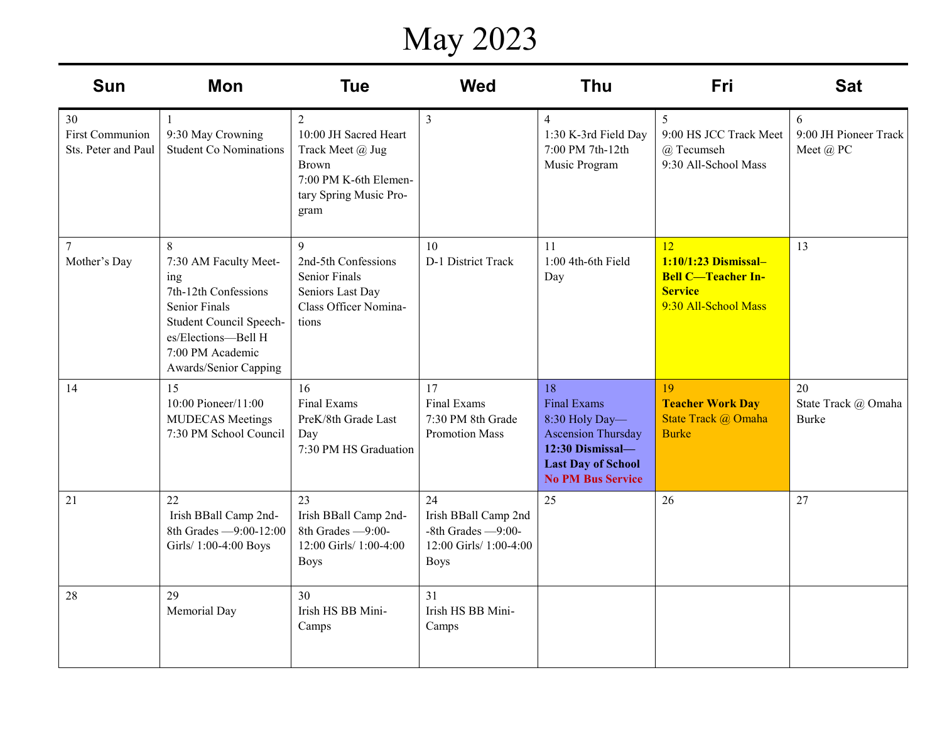# May 2023

| <b>Sun</b>                                          | <b>Mon</b>                                                                                                                                                                       | <b>Tue</b>                                                                                                                             | <b>Wed</b>                                                                                   | <b>Thu</b>                                                                                                                                           | <b>Fri</b>                                                                                        | <b>Sat</b>                                |
|-----------------------------------------------------|----------------------------------------------------------------------------------------------------------------------------------------------------------------------------------|----------------------------------------------------------------------------------------------------------------------------------------|----------------------------------------------------------------------------------------------|------------------------------------------------------------------------------------------------------------------------------------------------------|---------------------------------------------------------------------------------------------------|-------------------------------------------|
| 30<br><b>First Communion</b><br>Sts. Peter and Paul | 9:30 May Crowning<br><b>Student Co Nominations</b>                                                                                                                               | $\overline{2}$<br>10:00 JH Sacred Heart<br>Track Meet @ Jug<br><b>Brown</b><br>7:00 PM K-6th Elemen-<br>tary Spring Music Pro-<br>gram | $\overline{3}$                                                                               | $\overline{4}$<br>1:30 K-3rd Field Day<br>7:00 PM 7th-12th<br>Music Program                                                                          | 5<br>9:00 HS JCC Track Meet<br>@ Tecumseh<br>9:30 All-School Mass                                 | 6<br>9:00 JH Pioneer Track<br>Meet @ PC   |
| $\overline{7}$<br>Mother's Day                      | 8<br>7:30 AM Faculty Meet-<br>ing<br>7th-12th Confessions<br><b>Senior Finals</b><br>Student Council Speech-<br>es/Elections-Bell H<br>7:00 PM Academic<br>Awards/Senior Capping | 9<br>2nd-5th Confessions<br><b>Senior Finals</b><br>Seniors Last Day<br>Class Officer Nomina-<br>tions                                 | 10<br>D-1 District Track                                                                     | 11<br>$1:00$ 4th-6th Field<br>Day                                                                                                                    | 12<br>1:10/1:23 Dismissal-<br><b>Bell C-Teacher In-</b><br><b>Service</b><br>9:30 All-School Mass | 13                                        |
| 14                                                  | 15<br>10:00 Pioneer/11:00<br><b>MUDECAS</b> Meetings<br>7:30 PM School Council                                                                                                   | 16<br>Final Exams<br>PreK/8th Grade Last<br>Day<br>7:30 PM HS Graduation                                                               | 17<br>Final Exams<br>7:30 PM 8th Grade<br><b>Promotion Mass</b>                              | 18<br><b>Final Exams</b><br>8:30 Holy Day-<br><b>Ascension Thursday</b><br>12:30 Dismissal-<br><b>Last Day of School</b><br><b>No PM Bus Service</b> | 19<br><b>Teacher Work Day</b><br>State Track @ Omaha<br><b>Burke</b>                              | 20<br>State Track @ Omaha<br><b>Burke</b> |
| 21                                                  | 22<br>Irish BBall Camp 2nd-<br>8th Grades -9:00-12:00<br>Girls/ 1:00-4:00 Boys                                                                                                   | 23<br>Irish BBall Camp 2nd-<br>8th Grades -9:00-<br>12:00 Girls/ 1:00-4:00<br><b>Boys</b>                                              | 24<br>Irish BBall Camp 2nd<br>-8th Grades $-9:00$ -<br>12:00 Girls/ 1:00-4:00<br><b>Boys</b> | 25                                                                                                                                                   | 26                                                                                                | 27                                        |
| 28                                                  | 29<br>Memorial Day                                                                                                                                                               | 30<br>Irish HS BB Mini-<br>Camps                                                                                                       | 31<br>Irish HS BB Mini-<br>Camps                                                             |                                                                                                                                                      |                                                                                                   |                                           |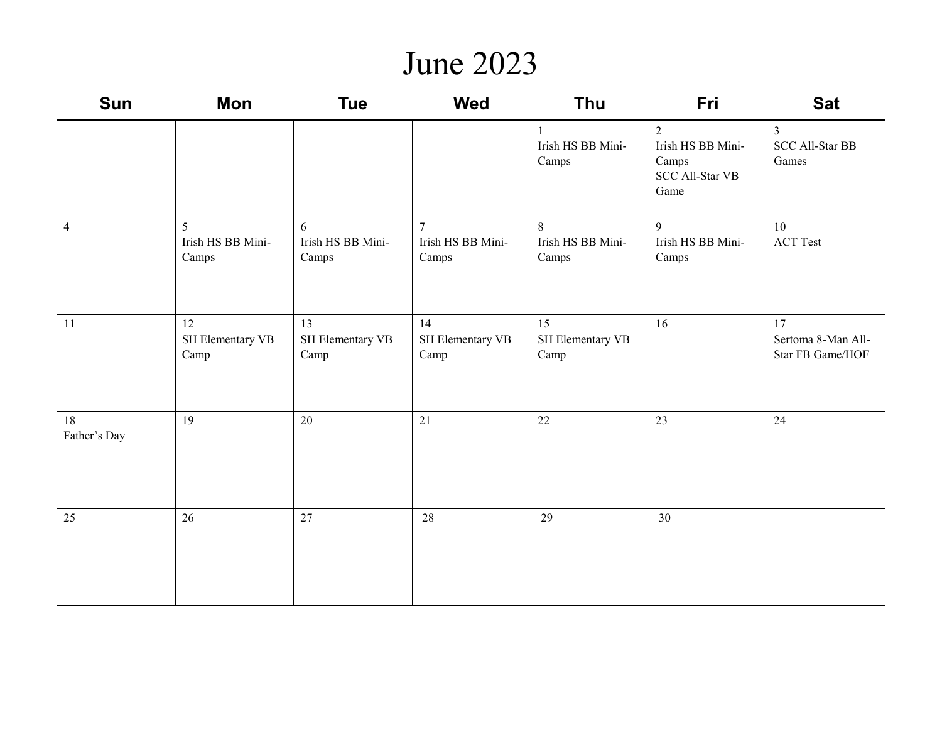#### June 2023

| Sun                | Mon                             | <b>Tue</b>                      | <b>Wed</b>                           | Thu                             | Fri                                                               | <b>Sat</b>                                        |
|--------------------|---------------------------------|---------------------------------|--------------------------------------|---------------------------------|-------------------------------------------------------------------|---------------------------------------------------|
|                    |                                 |                                 |                                      | Irish HS BB Mini-<br>Camps      | 2<br>Irish HS BB Mini-<br>Camps<br><b>SCC All-Star VB</b><br>Game | $\mathfrak{Z}$<br><b>SCC All-Star BB</b><br>Games |
| $\overline{4}$     | 5<br>Irish HS BB Mini-<br>Camps | 6<br>Irish HS BB Mini-<br>Camps | $\tau$<br>Irish HS BB Mini-<br>Camps | 8<br>Irish HS BB Mini-<br>Camps | 9<br>Irish HS BB Mini-<br>Camps                                   | 10<br><b>ACT</b> Test                             |
| 11                 | 12<br>SH Elementary VB<br>Camp  | 13<br>SH Elementary VB<br>Camp  | 14<br>SH Elementary VB<br>Camp       | 15<br>SH Elementary VB<br>Camp  | 16                                                                | 17<br>Sertoma 8-Man All-<br>Star FB Game/HOF      |
| 18<br>Father's Day | 19                              | 20                              | 21                                   | 22                              | 23                                                                | 24                                                |
| 25                 | 26                              | 27                              | 28                                   | 29                              | 30                                                                |                                                   |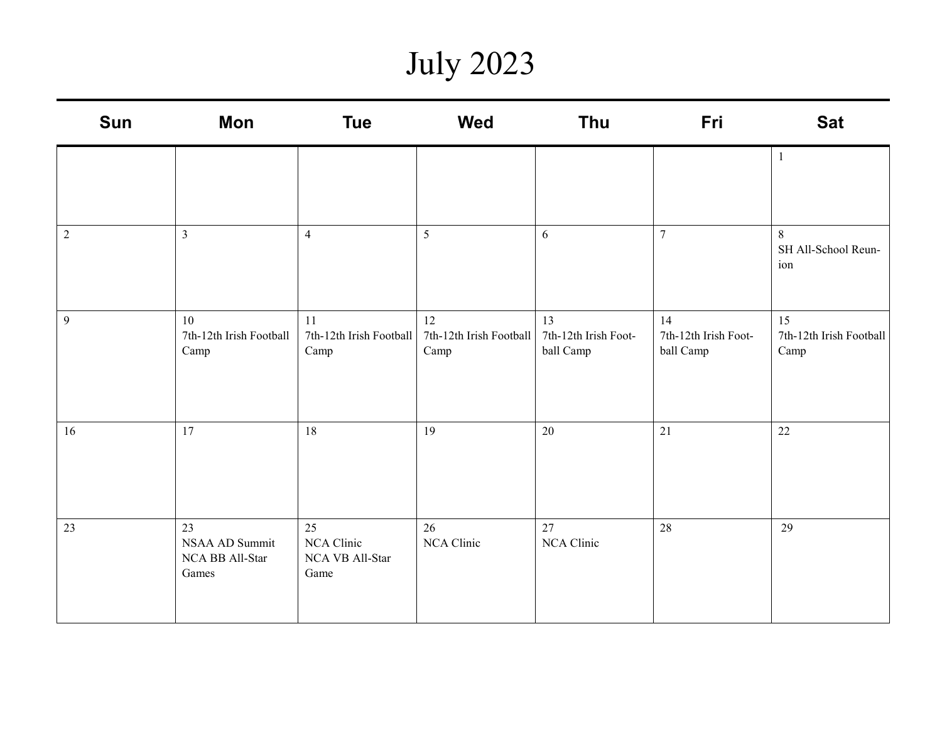## July 2023

| <b>Sun</b>     | Mon                                              | <b>Tue</b>                                  | <b>Wed</b>                            | Thu                                     | Fri                                     | <b>Sat</b>                            |
|----------------|--------------------------------------------------|---------------------------------------------|---------------------------------------|-----------------------------------------|-----------------------------------------|---------------------------------------|
|                |                                                  |                                             |                                       |                                         |                                         | $\mathbf{1}$                          |
| $\sqrt{2}$     | $\mathfrak{Z}$                                   | $\overline{4}$                              | 5                                     | 6                                       | $\overline{7}$                          | 8<br>SH All-School Reun-<br>ion       |
| $\overline{9}$ | 10<br>7th-12th Irish Football<br>Camp            | 11<br>7th-12th Irish Football<br>Camp       | 12<br>7th-12th Irish Football<br>Camp | 13<br>7th-12th Irish Foot-<br>ball Camp | 14<br>7th-12th Irish Foot-<br>ball Camp | 15<br>7th-12th Irish Football<br>Camp |
| 16             | 17                                               | 18                                          | 19                                    | 20                                      | 21                                      | 22                                    |
| 23             | 23<br>NSAA AD Summit<br>NCA BB All-Star<br>Games | 25<br>NCA Clinic<br>NCA VB All-Star<br>Game | 26<br>NCA Clinic                      | 27<br>NCA Clinic                        | 28                                      | 29                                    |